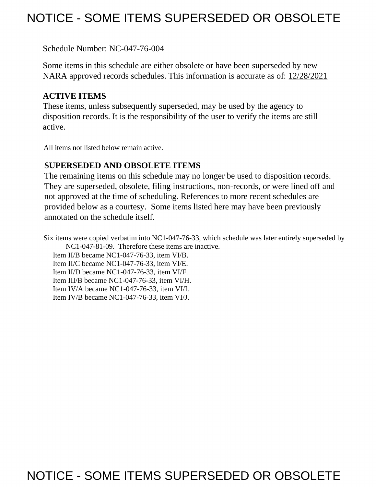# NOTICE - SOME ITEMS SUPERSEDED OR OBSOLETE

Schedule Number: NC-047-76-004

 Some items in this schedule are either obsolete or have been superseded by new NARA approved records schedules. This information is accurate as of: 12/28/2021

## **ACTIVE ITEMS**

 These items, unless subsequently superseded, may be used by the agency to disposition records. It is the responsibility of the user to verify the items are still active.

All items not listed below remain active.

## **SUPERSEDED AND OBSOLETE ITEMS**

 The remaining items on this schedule may no longer be used to disposition records. not approved at the time of scheduling. References to more recent schedules are provided below as a courtesy. Some items listed here may have been previously They are superseded, obsolete, filing instructions, non-records, or were lined off and annotated on the schedule itself.

Six items were copied verbatim into NC1-047-76-33, which schedule was later entirely superseded by NC1-047-81-09. Therefore these items are inactive.

Item II/B became NC1-047-76-33, item VI/B.

Item II/C became NC1-047-76-33, item VI/E.

Item II/D became NC1-047-76-33, item VI/F.

Item III/B became NC1-047-76-33, item VI/H.

Item IV/A became NC1-047-76-33, item VI/I.

Item IV/B became NC1-047-76-33, item VI/J.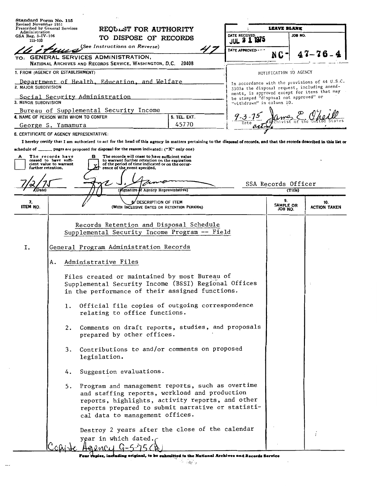| Standard Form No. 115<br>Revised November 1951<br>Prescribed by General Services |                                                                     | REQUEST FOR AUTHORITY<br>TO DISPOSE OF RECORDS                                                                                                                                                                                                                                                                                                                                                                                                                                                                                                                                                                                                                                                                                                                                                                                            |                       | <b>LEAVE BLANK</b>                                                 |                                |                                                                                                |
|----------------------------------------------------------------------------------|---------------------------------------------------------------------|-------------------------------------------------------------------------------------------------------------------------------------------------------------------------------------------------------------------------------------------------------------------------------------------------------------------------------------------------------------------------------------------------------------------------------------------------------------------------------------------------------------------------------------------------------------------------------------------------------------------------------------------------------------------------------------------------------------------------------------------------------------------------------------------------------------------------------------------|-----------------------|--------------------------------------------------------------------|--------------------------------|------------------------------------------------------------------------------------------------|
| Administration<br>$GSA$ Reg. $3-IV-106$                                          |                                                                     |                                                                                                                                                                                                                                                                                                                                                                                                                                                                                                                                                                                                                                                                                                                                                                                                                                           |                       | DATE RECEIVED                                                      |                                | JOB NO.                                                                                        |
| 115-103                                                                          |                                                                     | (See Instructions on Reverse)                                                                                                                                                                                                                                                                                                                                                                                                                                                                                                                                                                                                                                                                                                                                                                                                             |                       | 1975<br>$JUL$ $3$                                                  |                                |                                                                                                |
| TO:                                                                              |                                                                     | GENERAL SERVICES ADMINISTRATION,<br>NATIONAL ARCHIVES AND RECORDS SERVICE, WASHINGTON, D.C. 20408                                                                                                                                                                                                                                                                                                                                                                                                                                                                                                                                                                                                                                                                                                                                         |                       | DATE APPROVED ---                                                  | NC-                            | 47–76.                                                                                         |
|                                                                                  | 1. FROM (AGENCY OR ESTABLISHMENT)                                   |                                                                                                                                                                                                                                                                                                                                                                                                                                                                                                                                                                                                                                                                                                                                                                                                                                           |                       |                                                                    | NOTIFICATION TO AGENCY         |                                                                                                |
| 2. MAJOR SUBDIVISION                                                             |                                                                     | Department of Health, Education, and Welfare                                                                                                                                                                                                                                                                                                                                                                                                                                                                                                                                                                                                                                                                                                                                                                                              |                       |                                                                    |                                | In accordance with the provisions of 44 U.S.C.<br>3303a the disposal request, including amend- |
| 3. MINOR SUBDIVISION                                                             |                                                                     | Social Security Administration                                                                                                                                                                                                                                                                                                                                                                                                                                                                                                                                                                                                                                                                                                                                                                                                            |                       | be stamped "disposal not approved" or<br>"withdrawn" in column 10. |                                | ments, is approved except for items that may                                                   |
|                                                                                  |                                                                     | Bureau of Supplemental Security Income                                                                                                                                                                                                                                                                                                                                                                                                                                                                                                                                                                                                                                                                                                                                                                                                    |                       |                                                                    |                                |                                                                                                |
|                                                                                  | 4. NAME OF PERSON WITH WHOM TO CONFER                               |                                                                                                                                                                                                                                                                                                                                                                                                                                                                                                                                                                                                                                                                                                                                                                                                                                           | 5. TEL. EXT.<br>45770 | $9 - 3 - 7$<br>$\overline{Date}$                                   |                                |                                                                                                |
|                                                                                  | George S. Yamamura<br>6. CERTIFICATE OF AGENCY REPRESENTATIVE:      |                                                                                                                                                                                                                                                                                                                                                                                                                                                                                                                                                                                                                                                                                                                                                                                                                                           |                       |                                                                    |                                |                                                                                                |
|                                                                                  |                                                                     | I hereby certify that I am authorized to act for the head of this agency in matters pertaining to the disposal of records, and that the records described in this list or                                                                                                                                                                                                                                                                                                                                                                                                                                                                                                                                                                                                                                                                 |                       |                                                                    |                                |                                                                                                |
| further retention.                                                               | The records have<br>ceased to have suffi-<br>cient value to warrant | The records will cease to have sufficient value<br>в<br>to warrant further retention on the expiration<br>of the period of time indicated or on the occur-<br>rence of the event specified.<br>(Signature of Agency Representative)                                                                                                                                                                                                                                                                                                                                                                                                                                                                                                                                                                                                       |                       |                                                                    | SSA Records Officer<br>(Title) |                                                                                                |
| 7.<br><b>ITEM NO.</b>                                                            |                                                                     | DESCRIPTION OF ITEM<br>(WITH INCLUSIVE DATES OR RETENTION PERIODS)                                                                                                                                                                                                                                                                                                                                                                                                                                                                                                                                                                                                                                                                                                                                                                        |                       |                                                                    | 9.<br>SAMPLE OR<br>JOB NO.     | 10.<br><b>ACTION TAKEN</b>                                                                     |
| Ι.                                                                               | Α.<br>1.<br>2.<br>3.<br>4.<br>5.                                    | Records Retention and Disposal Schedule<br>Supplemental Security Income Program -- Field<br>General Program Administration Records<br>Administrative Files<br>Files created or maintained by most Bureau of<br>Supplemental Security Income (BSSI) Regional Offices<br>in the performance of their assigned functions.<br>Official file copies of outgoing correspondence<br>relating to office functions.<br>Comments on draft reports, studies, and proposals<br>prepared by other offices.<br>Contributions to and/or comments on proposed<br>legislation.<br>Suggestion evaluations.<br>Program and management reports, such as overtime<br>and staffing reports, workload and production<br>reports, highlights, activity reports, and other<br>reports prepared to submit narrative or statisti-<br>cal data to management offices. |                       |                                                                    |                                |                                                                                                |
|                                                                                  |                                                                     | Destroy 2 years after the close of the calendar<br>year in which dated.<br>raencu G                                                                                                                                                                                                                                                                                                                                                                                                                                                                                                                                                                                                                                                                                                                                                       |                       |                                                                    |                                |                                                                                                |

Four copies, including original, to be submitted to the National Archives and Records Service

 $\sim$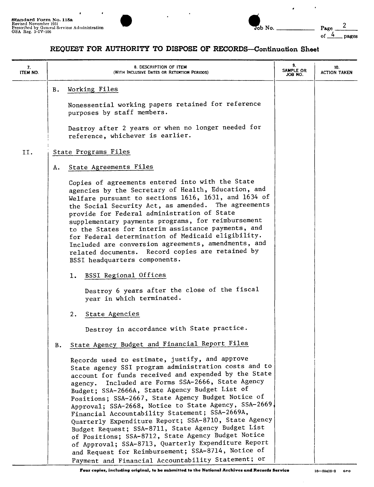

| Standard Form No. 115a                                                                               |  |        |                 |
|------------------------------------------------------------------------------------------------------|--|--------|-----------------|
| Revised November 1951<br>Prescribed by General Services Administration<br>$\text{GSA}$ Reg. 3-IV-106 |  | Job No | $P_{\text{AZ}}$ |
|                                                                                                      |  |        | pages           |

 $\bullet$ 

 $\ddot{\phantom{a}}$ 

#### **REQUEST FOR AUTHORITY TO DISPOSE OF RECORDS-Continuation Sheet**

| 7.<br>ITEM NO. |    | 8. DESCRIPTION OF ITEM<br>(WITH INCLUSIVE DATES OR RETENTION PERIODS)                                                                                                                                                                                                                                                                                                                                                                                                                                                                                                                                                                                                                                                                                                         | 9.<br>SAMPLE OR<br>JOB NO. | 10.<br><b>ACTION TAKEN</b> |
|----------------|----|-------------------------------------------------------------------------------------------------------------------------------------------------------------------------------------------------------------------------------------------------------------------------------------------------------------------------------------------------------------------------------------------------------------------------------------------------------------------------------------------------------------------------------------------------------------------------------------------------------------------------------------------------------------------------------------------------------------------------------------------------------------------------------|----------------------------|----------------------------|
|                | в. | Working Files<br>Nonessential working papers retained for reference<br>purposes by staff members.<br>Destroy after 2 years or when no longer needed for<br>reference, whichever is earlier.                                                                                                                                                                                                                                                                                                                                                                                                                                                                                                                                                                                   |                            |                            |
| II.            |    | State Programs Files                                                                                                                                                                                                                                                                                                                                                                                                                                                                                                                                                                                                                                                                                                                                                          |                            |                            |
|                | А. | State Agreements Files                                                                                                                                                                                                                                                                                                                                                                                                                                                                                                                                                                                                                                                                                                                                                        |                            |                            |
|                |    | Copies of agreements entered into with the State<br>agencies by the Secretary of Health, Education, and<br>Welfare pursuant to sections 1616, 1631, and 1634 of<br>the Social Security Act, as amended. The agreements<br>provide for Federal administration of State<br>supplementary payments programs, for reimbursement<br>to the States for interim assistance payments, and<br>for Federal determination of Medicaid eligibility.<br>Included are conversion agreements, amendments, and<br>related documents. Record copies are retained by<br>BSSI headquarters components.                                                                                                                                                                                           |                            |                            |
|                |    | 1. BSSI Regional Offices                                                                                                                                                                                                                                                                                                                                                                                                                                                                                                                                                                                                                                                                                                                                                      |                            |                            |
|                |    | Destroy 6 years after the close of the fiscal<br>year in which terminated.                                                                                                                                                                                                                                                                                                                                                                                                                                                                                                                                                                                                                                                                                                    |                            |                            |
|                |    | 2. State Agencies                                                                                                                                                                                                                                                                                                                                                                                                                                                                                                                                                                                                                                                                                                                                                             |                            |                            |
|                |    | Destroy in accordance with State practice.                                                                                                                                                                                                                                                                                                                                                                                                                                                                                                                                                                                                                                                                                                                                    |                            |                            |
|                | в. | State Agency Budget and Financial Report Files                                                                                                                                                                                                                                                                                                                                                                                                                                                                                                                                                                                                                                                                                                                                |                            |                            |
|                |    | Records used to estimate, justify, and approve<br>State agency SSI program administration costs and to<br>account for funds received and expended by the State<br>agency. Included are Forms SSA-2666, State Agency<br>Budget; SSA-2666A, State Agency Budget List of<br>Positions; SSA-2667, State Agency Budget Notice of<br>Approval; SSA-2668, Notice to State Agency, SSA-2669,<br>Financial Accountability Statement; SSA-2669A,<br>Quarterly Expenditure Report; SSA-8710, State Agency<br>Budget Request; SSA-8711, State Agency Budget List<br>of Positions; SSA-8712, State Agency Budget Notice<br>of Approval; SSA-8713, Quarterly Expenditure Report<br>and Request for Reimbursement; SSA-8714, Notice of<br>Payment and Financial Accountability Statement; or |                            |                            |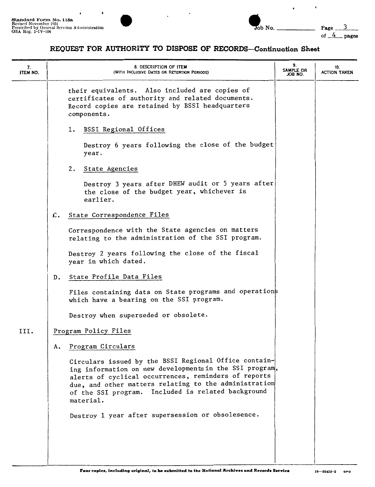

 $\lambda$ 

 $\cdot$ 

of  $4$  pages

 $\cdot$ 

#### REQUEST FOR AUTHORITY TO DISPOSE OF RECORDS-Continuation Sheet

| 7.<br>ITEM NO. | 8. DESCRIPTION OF ITEM<br>(WITH INCLUSIVE DATES OR RETENTION PERIODS)                                                                                                                                                                                                                                | 9.<br>SAMPLE OR<br>JOB NO. | 10.<br><b>ACTION TAKEN</b> |
|----------------|------------------------------------------------------------------------------------------------------------------------------------------------------------------------------------------------------------------------------------------------------------------------------------------------------|----------------------------|----------------------------|
|                | their equivalents. Also included are copies of<br>certificates of authority and related documents.<br>Record copies are retained by BSSI headquarters<br>components.                                                                                                                                 |                            |                            |
|                | BSSI Regional Offices<br>1.                                                                                                                                                                                                                                                                          |                            |                            |
|                | Destroy 6 years following the close of the budget<br>year.                                                                                                                                                                                                                                           |                            |                            |
|                | State Agencies<br>2.                                                                                                                                                                                                                                                                                 |                            |                            |
|                | Destroy 3 years after DHEW audit or 5 years after<br>the close of the budget year, whichever is<br>earlier.                                                                                                                                                                                          |                            |                            |
|                | State Correspondence Files<br>$\mathcal{L}$ .                                                                                                                                                                                                                                                        |                            |                            |
|                | Correspondence with the State agencies on matters<br>relating to the administration of the SSI program.                                                                                                                                                                                              |                            |                            |
|                | Destroy 2 years following the close of the fiscal<br>year in which dated.                                                                                                                                                                                                                            |                            |                            |
|                | State Profile Data Files<br>D.                                                                                                                                                                                                                                                                       |                            |                            |
|                | Files containing data on State programs and operations<br>which have a bearing on the SSI program.                                                                                                                                                                                                   |                            |                            |
|                | Destroy when superseded or obsolete.                                                                                                                                                                                                                                                                 |                            |                            |
| III.           | Program Policy Files                                                                                                                                                                                                                                                                                 |                            |                            |
|                | Program Circulars<br>А.                                                                                                                                                                                                                                                                              |                            |                            |
|                | Circulars issued by the BSSI Regional Office contain-<br>ing information on new developments in the SSI program,<br>alerts of cyclical occurrences, reminders of reports<br>due, and other matters relating to the administration<br>of the SSI program. Included is related background<br>material. |                            |                            |
|                | Destroy 1 year after supersession or obsolesence.                                                                                                                                                                                                                                                    |                            |                            |
|                |                                                                                                                                                                                                                                                                                                      |                            |                            |
|                |                                                                                                                                                                                                                                                                                                      |                            |                            |